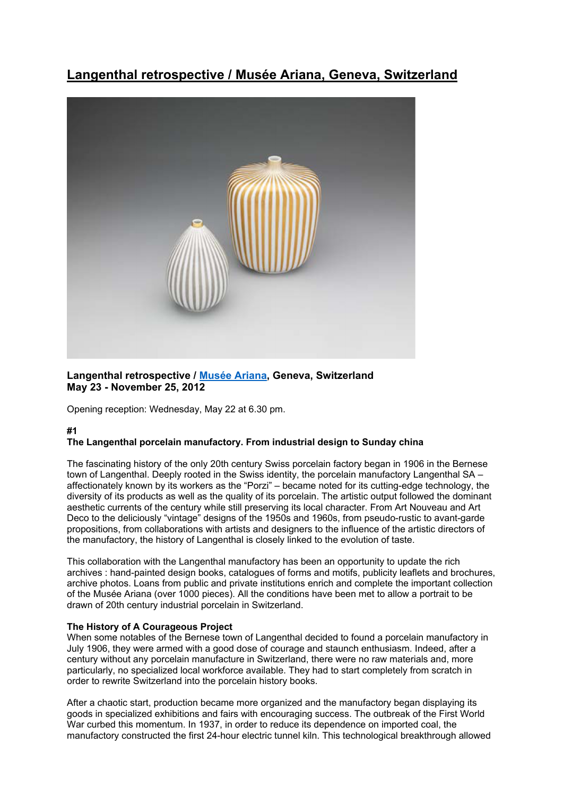# **Langenthal retrospective / Musée Ariana, Geneva, Switzerland**



## **Langenthal retrospective / Musée Ariana, Geneva, Switzerland May 23 - November 25, 2012**

Opening reception: Wednesday, May 22 at 6.30 pm.

# **#1**

#### **The Langenthal porcelain manufactory. From industrial design to Sunday china**

The fascinating history of the only 20th century Swiss porcelain factory began in 1906 in the Bernese town of Langenthal. Deeply rooted in the Swiss identity, the porcelain manufactory Langenthal SA – affectionately known by its workers as the "Porzi" – became noted for its cutting-edge technology, the diversity of its products as well as the quality of its porcelain. The artistic output followed the dominant aesthetic currents of the century while still preserving its local character. From Art Nouveau and Art Deco to the deliciously "vintage" designs of the 1950s and 1960s, from pseudo-rustic to avant-garde propositions, from collaborations with artists and designers to the influence of the artistic directors of the manufactory, the history of Langenthal is closely linked to the evolution of taste.

This collaboration with the Langenthal manufactory has been an opportunity to update the rich archives : hand-painted design books, catalogues of forms and motifs, publicity leaflets and brochures, archive photos. Loans from public and private institutions enrich and complete the important collection of the Musée Ariana (over 1000 pieces). All the conditions have been met to allow a portrait to be drawn of 20th century industrial porcelain in Switzerland.

## **The History of A Courageous Project**

When some notables of the Bernese town of Langenthal decided to found a porcelain manufactory in July 1906, they were armed with a good dose of courage and staunch enthusiasm. Indeed, after a century without any porcelain manufacture in Switzerland, there were no raw materials and, more particularly, no specialized local workforce available. They had to start completely from scratch in order to rewrite Switzerland into the porcelain history books.

After a chaotic start, production became more organized and the manufactory began displaying its goods in specialized exhibitions and fairs with encouraging success. The outbreak of the First World War curbed this momentum. In 1937, in order to reduce its dependence on imported coal, the manufactory constructed the first 24-hour electric tunnel kiln. This technological breakthrough allowed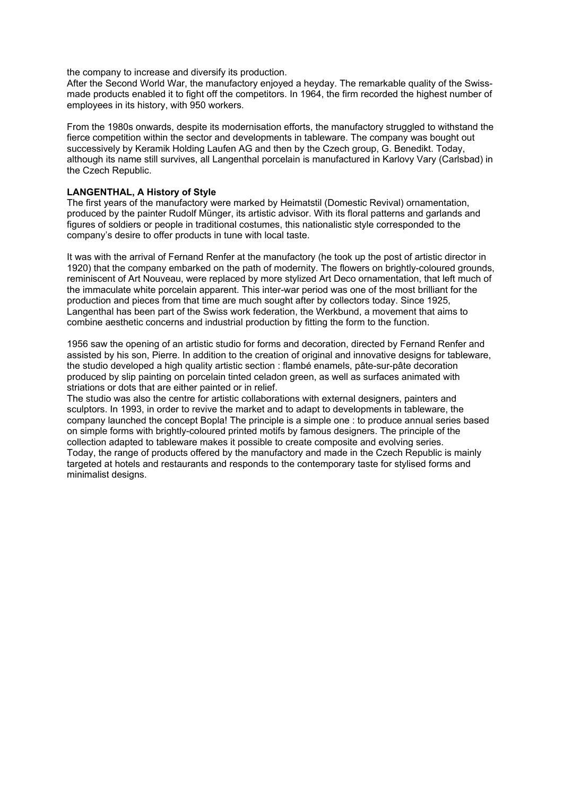the company to increase and diversify its production.

After the Second World War, the manufactory enjoyed a heyday. The remarkable quality of the Swissmade products enabled it to fight off the competitors. In 1964, the firm recorded the highest number of employees in its history, with 950 workers.

From the 1980s onwards, despite its modernisation efforts, the manufactory struggled to withstand the fierce competition within the sector and developments in tableware. The company was bought out successively by Keramik Holding Laufen AG and then by the Czech group, G. Benedikt. Today, although its name still survives, all Langenthal porcelain is manufactured in Karlovy Vary (Carlsbad) in the Czech Republic.

### **LANGENTHAL, A History of Style**

The first years of the manufactory were marked by Heimatstil (Domestic Revival) ornamentation, produced by the painter Rudolf Münger, its artistic advisor. With its floral patterns and garlands and figures of soldiers or people in traditional costumes, this nationalistic style corresponded to the company's desire to offer products in tune with local taste.

It was with the arrival of Fernand Renfer at the manufactory (he took up the post of artistic director in 1920) that the company embarked on the path of modernity. The flowers on brightly-coloured grounds, reminiscent of Art Nouveau, were replaced by more stylized Art Deco ornamentation, that left much of the immaculate white porcelain apparent. This inter-war period was one of the most brilliant for the production and pieces from that time are much sought after by collectors today. Since 1925, Langenthal has been part of the Swiss work federation, the Werkbund, a movement that aims to combine aesthetic concerns and industrial production by fitting the form to the function.

1956 saw the opening of an artistic studio for forms and decoration, directed by Fernand Renfer and assisted by his son, Pierre. In addition to the creation of original and innovative designs for tableware, the studio developed a high quality artistic section : flambé enamels, pâte-sur-pâte decoration produced by slip painting on porcelain tinted celadon green, as well as surfaces animated with striations or dots that are either painted or in relief.

The studio was also the centre for artistic collaborations with external designers, painters and sculptors. In 1993, in order to revive the market and to adapt to developments in tableware, the company launched the concept Bopla! The principle is a simple one : to produce annual series based on simple forms with brightly-coloured printed motifs by famous designers. The principle of the collection adapted to tableware makes it possible to create composite and evolving series. Today, the range of products offered by the manufactory and made in the Czech Republic is mainly targeted at hotels and restaurants and responds to the contemporary taste for stylised forms and minimalist designs.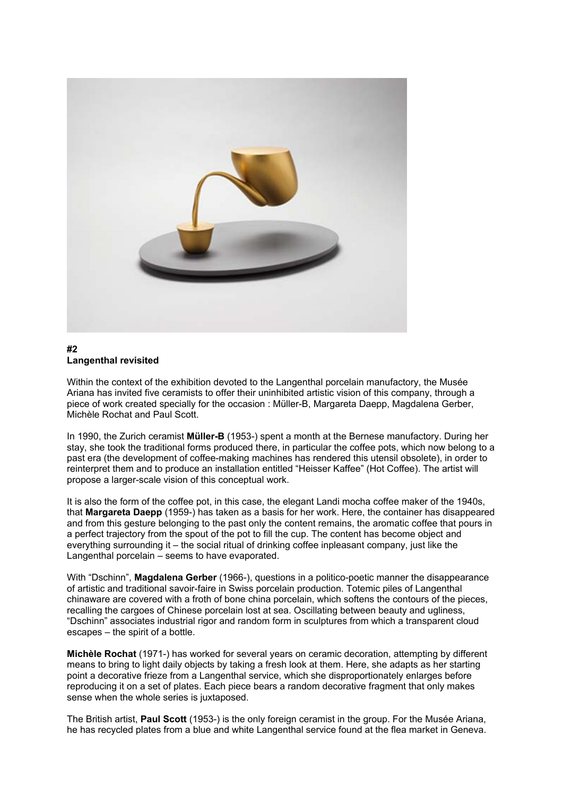

#### **#2 Langenthal revisited**

Within the context of the exhibition devoted to the Langenthal porcelain manufactory, the Musée Ariana has invited five ceramists to offer their uninhibited artistic vision of this company, through a piece of work created specially for the occasion : Müller-B, Margareta Daepp, Magdalena Gerber, Michèle Rochat and Paul Scott.

In 1990, the Zurich ceramist **Müller-B** (1953-) spent a month at the Bernese manufactory. During her stay, she took the traditional forms produced there, in particular the coffee pots, which now belong to a past era (the development of coffee-making machines has rendered this utensil obsolete), in order to reinterpret them and to produce an installation entitled "Heisser Kaffee" (Hot Coffee). The artist will propose a larger-scale vision of this conceptual work.

It is also the form of the coffee pot, in this case, the elegant Landi mocha coffee maker of the 1940s, that **Margareta Daepp** (1959-) has taken as a basis for her work. Here, the container has disappeared and from this gesture belonging to the past only the content remains, the aromatic coffee that pours in a perfect trajectory from the spout of the pot to fill the cup. The content has become object and everything surrounding it – the social ritual of drinking coffee inpleasant company, just like the Langenthal porcelain – seems to have evaporated.

With "Dschinn", **Magdalena Gerber** (1966-), questions in a politico-poetic manner the disappearance of artistic and traditional savoir-faire in Swiss porcelain production. Totemic piles of Langenthal chinaware are covered with a froth of bone china porcelain, which softens the contours of the pieces, recalling the cargoes of Chinese porcelain lost at sea. Oscillating between beauty and ugliness, "Dschinn" associates industrial rigor and random form in sculptures from which a transparent cloud escapes – the spirit of a bottle.

**Michèle Rochat** (1971-) has worked for several years on ceramic decoration, attempting by different means to bring to light daily objects by taking a fresh look at them. Here, she adapts as her starting point a decorative frieze from a Langenthal service, which she disproportionately enlarges before reproducing it on a set of plates. Each piece bears a random decorative fragment that only makes sense when the whole series is juxtaposed.

The British artist, **Paul Scott** (1953-) is the only foreign ceramist in the group. For the Musée Ariana, he has recycled plates from a blue and white Langenthal service found at the flea market in Geneva.